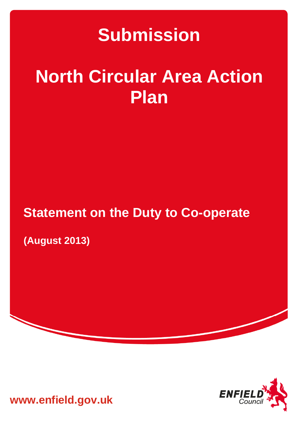# **Submission**

# **North Circular Area Action Plan**

# **Statement on the Duty to Co-operate**

**(August 2013)** 



**www.enfield.gov.uk**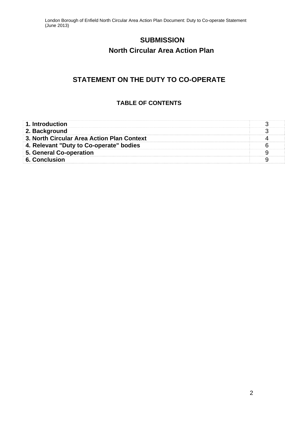# **SUBMISSION**

# **North Circular Area Action Plan**

# **STATEMENT ON THE DUTY TO CO-OPERATE**

#### **TABLE OF CONTENTS**

| 1. Introduction                            |  |
|--------------------------------------------|--|
| 2. Background                              |  |
| 3. North Circular Area Action Plan Context |  |
| 4. Relevant "Duty to Co-operate" bodies    |  |
| 5. General Co-operation                    |  |
| 6. Conclusion                              |  |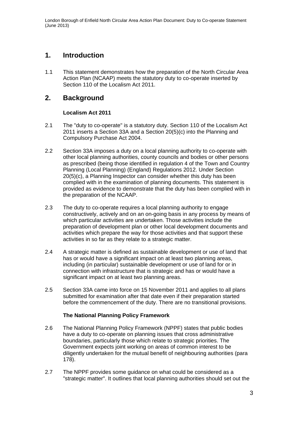### **1. Introduction**

1.1 This statement demonstrates how the preparation of the North Circular Area Action Plan (NCAAP) meets the statutory duty to co-operate inserted by Section 110 of the Localism Act 2011.

### **2. Background**

#### **Localism Act 2011**

- 2.1 The "duty to co-operate" is a statutory duty. Section 110 of the Localism Act 2011 inserts a Section 33A and a Section 20(5)(c) into the Planning and Compulsory Purchase Act 2004.
- 2.2 Section 33A imposes a duty on a local planning authority to co-operate with other local planning authorities, county councils and bodies or other persons as prescribed (being those identified in regulation 4 of the Town and Country Planning (Local Planning) (England) Regulations 2012. Under Section 20(5)(c), a Planning Inspector can consider whether this duty has been complied with in the examination of planning documents. This statement is provided as evidence to demonstrate that the duty has been complied with in the preparation of the NCAAP.
- 2.3 The duty to co-operate requires a local planning authority to engage constructively, actively and on an on-going basis in any process by means of which particular activities are undertaken. Those activities include the preparation of development plan or other local development documents and activities which prepare the way for those activities and that support these activities in so far as they relate to a strategic matter.
- 2.4 A strategic matter is defined as sustainable development or use of land that has or would have a significant impact on at least two planning areas, including (in particular) sustainable development or use of land for or in connection with infrastructure that is strategic and has or would have a significant impact on at least two planning areas.
- 2.5 Section 33A came into force on 15 November 2011 and applies to all plans submitted for examination after that date even if their preparation started before the commencement of the duty. There are no transitional provisions.

#### **The National Planning Policy Framework**

- 2.6 The National Planning Policy Framework (NPPF) states that public bodies have a duty to co-operate on planning issues that cross administrative boundaries, particularly those which relate to strategic priorities. The Government expects joint working on areas of common interest to be diligently undertaken for the mutual benefit of neighbouring authorities (para 178).
- 2.7 The NPPF provides some guidance on what could be considered as a "strategic matter". It outlines that local planning authorities should set out the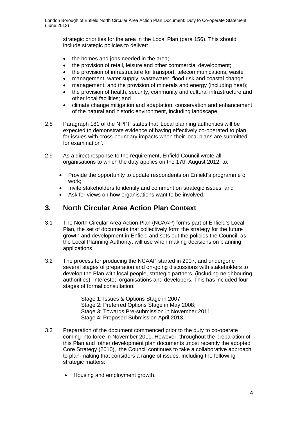strategic priorities for the area in the Local Plan (para 156). This should include strategic policies to deliver:

- the homes and jobs needed in the area;
- the provision of retail, leisure and other commercial development;
- the provision of infrastructure for transport, telecommunications, waste
- management, water supply, wastewater, flood risk and coastal change
- management, and the provision of minerals and energy (including heat);
- the provision of health, security, community and cultural infrastructure and other local facilities; and
- climate change mitigation and adaptation, conservation and enhancement of the natural and historic environment, including landscape.
- 2.8 Paragraph 181 of the NPPF states that 'Local planning authorities will be expected to demonstrate evidence of having effectively co-operated to plan for issues with cross-boundary impacts when their local plans are submitted for examination'.
- 2.9 As a direct response to the requirement, Enfield Council wrote all organisations to which the duty applies on the 17th August 2012, to:
	- Provide the opportunity to update respondents on Enfield's programme of work;
	- Invite stakeholders to identify and comment on strategic issues; and
	- Ask for views on how organisations want to be involved.

## **3. North Circular Area Action Plan Context**

- 3.1 The North Circular Area Action Plan (NCAAP) forms part of Enfield's Local Plan, the set of documents that collectively form the strategy for the future growth and development in Enfield and sets out the policies the Council, as the Local Planning Authority, will use when making decisions on planning applications.
- 3.2 The process for producing the NCAAP started in 2007, and undergone several stages of preparation and on-going discussions with stakeholders to develop the Plan with local people, strategic partners, (including neighbouring authorities), interested organisations and developers. This has included four stages of formal consultation:

Stage 1: Issues & Options Stage in 2007: Stage 2: Preferred Options Stage in May 2008; Stage 3: Towards Pre-submission in November 2011; Stage 4: Proposed Submission April 2013.

- 3.3 Preparation of the document commenced prior to the duty to co-operate coming into force in November 2011. However, throughout the preparation of this Plan and other development plan documents ,most recently the adopted Core Strategy (2010), the Council continues to take a collaborative approach to plan-making that considers a range of issues, including the following strategic matters::
	- Housing and employment growth.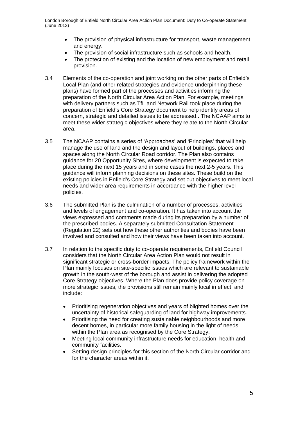- The provision of physical infrastructure for transport, waste management and energy.
- The provision of social infrastructure such as schools and health.
- The protection of existing and the location of new employment and retail provision.
- 3.4 Elements of the co-operation and joint working on the other parts of Enfield's Local Plan (and other related strategies and evidence underpinning these plans) have formed part of the processes and activities informing the preparation of the North Circular Area Action Plan. For example, meetings with delivery partners such as TfL and Network Rail took place during the preparation of Enfield's Core Strategy document to help identify areas of concern, strategic and detailed issues to be addressed.. The NCAAP aims to meet these wider strategic objectives where they relate to the North Circular area.
- 3.5 The NCAAP contains a series of 'Approaches' and 'Principles' that will help manage the use of land and the design and layout of buildings, places and spaces along the North Circular Road corridor. The Plan also contains guidance for 20 Opportunity Sites, where development is expected to take place during the next 15 years and in some cases the next 2-5 years. This guidance will inform planning decisions on these sites. These build on the existing policies in Enfield's Core Strategy and set out objectives to meet local needs and wider area requirements in accordance with the higher level policies.
- 3.6 The submitted Plan is the culmination of a number of processes, activities and levels of engagement and co-operation. It has taken into account the views expressed and comments made during its preparation by a number of the prescribed bodies. A separately submitted Consultation Statement (Regulation 22) sets out how these other authorities and bodies have been involved and consulted and how their views have been taken into account.
- 3.7 In relation to the specific duty to co-operate requirements, Enfield Council considers that the North Circular Area Action Plan would not result in significant strategic or cross-border impacts. The policy framework within the Plan mainly focuses on site-specific issues which are relevant to sustainable growth in the south-west of the borough and assist in delivering the adopted Core Strategy objectives. Where the Plan does provide policy coverage on more strategic issues, the provisions still remain mainly local in effect, and include:
	- Prioritising regeneration objectives and years of blighted homes over the uncertainty of historical safeguarding of land for highway improvements.
	- Prioritising the need for creating sustainable neighbourhoods and more decent homes, in particular more family housing in the light of needs within the Plan area as recognised by the Core Strategy.
	- Meeting local community infrastructure needs for education, health and community facilities.
	- Setting design principles for this section of the North Circular corridor and for the character areas within it.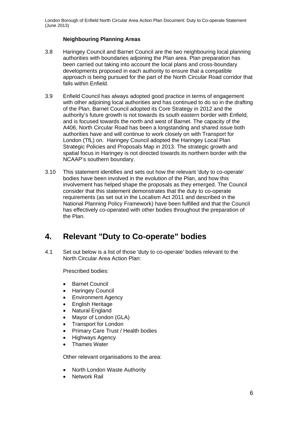#### **Neighbouring Planning Areas**

- 3.8 Haringey Council and Barnet Council are the two neighbouring local planning authorities with boundaries adjoining the Plan area. Plan preparation has been carried out taking into account the local plans and cross-boundary developments proposed in each authority to ensure that a compatible approach is being pursued for the part of the North Circular Road corridor that falls within Enfield.
- 3.9 Enfield Council has always adopted good practice in terms of engagement with other adjoining local authorities and has continued to do so in the drafting of the Plan. Barnet Council adopted its Core Strategy in 2012 and the authority's future growth is not towards its south eastern border with Enfield, and is focused towards the north and west of Barnet. The capacity of the A406, North Circular Road has been a longstanding and shared issue both authorities have and will continue to work closely on with Transport for London (TfL) on. Haringey Council adopted the Haringey Local Plan Strategic Policies and Proposals Map in 2013. The strategic growth and spatial focus in Haringey is not directed towards its northern border with the NCAAP's southern boundary.
- 3.10 This statement identifies and sets out how the relevant 'duty to co-operate' bodies have been involved in the evolution of the Plan, and how this involvement has helped shape the proposals as they emerged. The Council consider that this statement demonstrates that the duty to co-operate requirements (as set out in the Localism Act 2011 and described in the National Planning Policy Framework) have been fulfilled and that the Council has effectively co-operated with other bodies throughout the preparation of the Plan.

# **4. Relevant "Duty to Co-operate" bodies**

4.1 Set out below is a list of those 'duty to co-operate' bodies relevant to the North Circular Area Action Plan:

Prescribed bodies:

- Barnet Council
- Haringey Council
- Environment Agency
- English Heritage
- Natural England
- Mayor of London (GLA)
- Transport for London
- Primary Care Trust / Health bodies
- Highways Agency
- Thames Water

Other relevant organisations to the area:

- North London Waste Authority
- Network Rail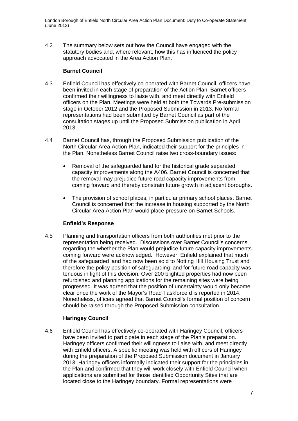4.2 The summary below sets out how the Council have engaged with the statutory bodies and, where relevant, how this has influenced the policy approach advocated in the Area Action Plan.

#### **Barnet Council**

- 4.3 Enfield Council has effectively co-operated with Barnet Council, officers have been invited in each stage of preparation of the Action Plan. Barnet officers confirmed their willingness to liaise with, and meet directly with Enfield officers on the Plan. Meetings were held at both the Towards Pre-submission stage in October 2012 and the Proposed Submission in 2013. No formal representations had been submitted by Barnet Council as part of the consultation stages up until the Proposed Submission publication in April 2013.
- 4.4 Barnet Council has, through the Proposed Submission publication of the North Circular Area Action Plan, indicated their support for the principles in the Plan. Nonetheless Barnet Council raise two cross-boundary issues:
	- Removal of the safeguarded land for the historical grade separated capacity improvements along the A406. Barnet Council is concerned that the removal may prejudice future road capacity improvements from coming forward and thereby constrain future growth in adjacent boroughs.
	- The provision of school places, in particular primary school places. Barnet Council is concerned that the increase in housing supported by the North Circular Area Action Plan would place pressure on Barnet Schools.

#### **Enfield's Response**

4.5 Planning and transportation officers from both authorities met prior to the representation being received. Discussions over Barnet Council's concerns regarding the whether the Plan would prejudice future capacity improvements coming forward were acknowledged. However, Enfield explained that much of the safeguarded land had now been sold to Notting Hill Housing Trust and therefore the policy position of safeguarding land for future road capacity was tenuous in light of this decision. Over 200 blighted properties had now been refurbished and planning applications for the remaining sites were being progressed. It was agreed that the position of uncertainty would only become clear once the work of the Mayor's Road Taskforce d is reported in 2014. Nonetheless, officers agreed that Barnet Council's formal position of concern should be raised through the Proposed Submission consultation.

#### **Haringey Council**

4.6 Enfield Council has effectively co-operated with Haringey Council, officers have been invited to participate in each stage of the Plan's preparation. Haringey officers confirmed their willingness to liaise with, and meet directly with Enfield officers. A specific meeting was held with officers of Haringey during the preparation of the Proposed Submission document in January 2013. Haringey officers informally indicated their support for the principles in the Plan and confirmed that they will work closely with Enfield Council when applications are submitted for those identified Opportunity Sites that are located close to the Haringey boundary. Formal representations were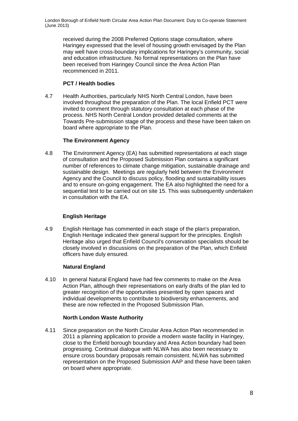received during the 2008 Preferred Options stage consultation, where Haringey expressed that the level of housing growth envisaged by the Plan may well have cross-boundary implications for Haringey's community, social and education infrastructure. No formal representations on the Plan have been received from Haringey Council since the Area Action Plan recommenced in 2011.

#### **PCT / Health bodies**

4.7 Health Authorities, particularly NHS North Central London, have been involved throughout the preparation of the Plan. The local Enfield PCT were invited to comment through statutory consultation at each phase of the process. NHS North Central London provided detailed comments at the Towards Pre-submission stage of the process and these have been taken on board where appropriate to the Plan.

#### **The Environment Agency**

4.8 The Environment Agency (EA) has submitted representations at each stage of consultation and the Proposed Submission Plan contains a significant number of references to climate change mitigation, sustainable drainage and sustainable design. Meetings are regularly held between the Environment Agency and the Council to discuss policy, flooding and sustainability issues and to ensure on-going engagement. The EA also highlighted the need for a sequential test to be carried out on site 15. This was subsequently undertaken in consultation with the EA.

#### **English Heritage**

4.9 English Heritage has commented in each stage of the plan's preparation, English Heritage indicated their general support for the principles. English Heritage also urged that Enfield Council's conservation specialists should be closely involved in discussions on the preparation of the Plan, which Enfield officers have duly ensured.

#### **Natural England**

4.10 In general Natural England have had few comments to make on the Area Action Plan, although their representations on early drafts of the plan led to greater recognition of the opportunities presented by open spaces and individual developments to contribute to biodiversity enhancements, and these are now reflected in the Proposed Submission Plan.

#### **North London Waste Authority**

4.11 Since preparation on the North Circular Area Action Plan recommended in 2011 a planning application to provide a modern waste facility in Haringey, close to the Enfield borough boundary and Area Action boundary had been progressing. Continual dialogue with NLWA has also been necessary to ensure cross boundary proposals remain consistent. NLWA has submitted representation on the Proposed Submission AAP and these have been taken on board where appropriate.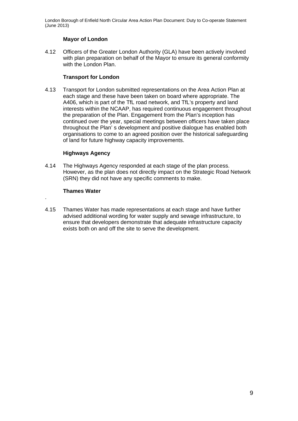#### **Mayor of London**

4.12 Officers of the Greater London Authority (GLA) have been actively involved with plan preparation on behalf of the Mayor to ensure its general conformity with the London Plan.

#### **Transport for London**

4.13 Transport for London submitted representations on the Area Action Plan at each stage and these have been taken on board where appropriate. The A406, which is part of the TfL road network, and TfL's property and land interests within the NCAAP, has required continuous engagement throughout the preparation of the Plan. Engagement from the Plan's inception has continued over the year, special meetings between officers have taken place throughout the Plan' s development and positive dialogue has enabled both organisations to come to an agreed position over the historical safeguarding of land for future highway capacity improvements.

#### **Highways Agency**

4.14 The Highways Agency responded at each stage of the plan process. However, as the plan does not directly impact on the Strategic Road Network (SRN) they did not have any specific comments to make.

#### **Thames Water**

.

4.15 Thames Water has made representations at each stage and have further advised additional wording for water supply and sewage infrastructure, to ensure that developers demonstrate that adequate infrastructure capacity exists both on and off the site to serve the development.